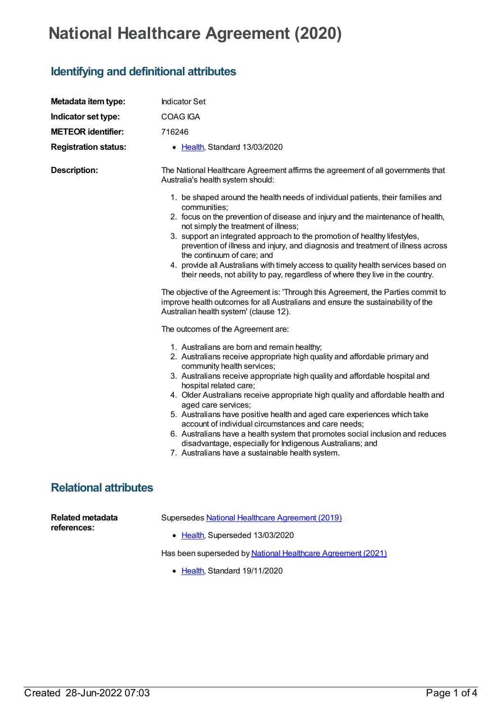## **National Healthcare Agreement (2020)**

## **Identifying and definitional attributes**

| Metadata item type:                    | <b>Indicator Set</b>                                                                                                                                                                                                                                                                                                                                                                                                                                                                                                                                                                                                                                                                                                                                                                                                                                                                                    |
|----------------------------------------|---------------------------------------------------------------------------------------------------------------------------------------------------------------------------------------------------------------------------------------------------------------------------------------------------------------------------------------------------------------------------------------------------------------------------------------------------------------------------------------------------------------------------------------------------------------------------------------------------------------------------------------------------------------------------------------------------------------------------------------------------------------------------------------------------------------------------------------------------------------------------------------------------------|
| Indicator set type:                    | <b>COAG IGA</b>                                                                                                                                                                                                                                                                                                                                                                                                                                                                                                                                                                                                                                                                                                                                                                                                                                                                                         |
| <b>METEOR identifier:</b>              | 716246                                                                                                                                                                                                                                                                                                                                                                                                                                                                                                                                                                                                                                                                                                                                                                                                                                                                                                  |
| <b>Registration status:</b>            | • Health, Standard 13/03/2020                                                                                                                                                                                                                                                                                                                                                                                                                                                                                                                                                                                                                                                                                                                                                                                                                                                                           |
| <b>Description:</b>                    | The National Healthcare Agreement affirms the agreement of all governments that<br>Australia's health system should:                                                                                                                                                                                                                                                                                                                                                                                                                                                                                                                                                                                                                                                                                                                                                                                    |
|                                        | 1. be shaped around the health needs of individual patients, their families and<br>communities;<br>2. focus on the prevention of disease and injury and the maintenance of health,<br>not simply the treatment of illness;<br>3. support an integrated approach to the promotion of healthy lifestyles,<br>prevention of illness and injury, and diagnosis and treatment of illness across<br>the continuum of care; and<br>4. provide all Australians with timely access to quality health services based on<br>their needs, not ability to pay, regardless of where they live in the country.<br>The objective of the Agreement is: 'Through this Agreement, the Parties commit to<br>improve health outcomes for all Australians and ensure the sustainability of the<br>Australian health system' (clause 12).<br>The outcomes of the Agreement are:<br>1. Australians are born and remain healthy; |
|                                        | 2. Australians receive appropriate high quality and affordable primary and<br>community health services;<br>3. Australians receive appropriate high quality and affordable hospital and<br>hospital related care;<br>4. Older Australians receive appropriate high quality and affordable health and<br>aged care services;<br>5. Australians have positive health and aged care experiences which take<br>account of individual circumstances and care needs;<br>6. Australians have a health system that promotes social inclusion and reduces<br>disadvantage, especially for Indigenous Australians; and<br>7. Australians have a sustainable health system.                                                                                                                                                                                                                                        |
| <b>Relational attributes</b>           |                                                                                                                                                                                                                                                                                                                                                                                                                                                                                                                                                                                                                                                                                                                                                                                                                                                                                                         |
| <b>Related metadata</b><br>references: | Supersedes National Healthcare Agreement (2019)<br>• Health, Superseded 13/03/2020                                                                                                                                                                                                                                                                                                                                                                                                                                                                                                                                                                                                                                                                                                                                                                                                                      |

Has been superseded by National Healthcare [Agreement](https://meteor.aihw.gov.au/content/725844) (2021)

• [Health](https://meteor.aihw.gov.au/RegistrationAuthority/12), Standard 19/11/2020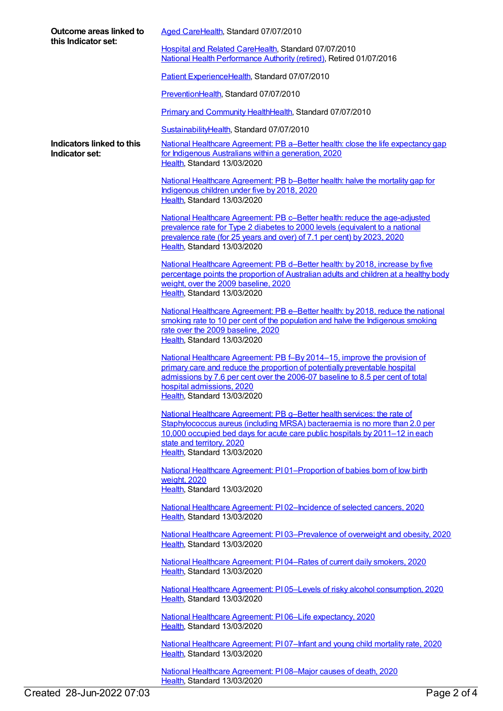| Outcome areas linked to<br>this Indicator set: | Aged CareHealth, Standard 07/07/2010                                                                                                                                                                                                                                                                |
|------------------------------------------------|-----------------------------------------------------------------------------------------------------------------------------------------------------------------------------------------------------------------------------------------------------------------------------------------------------|
|                                                | Hospital and Related CareHealth, Standard 07/07/2010<br>National Health Performance Authority (retired), Retired 01/07/2016                                                                                                                                                                         |
|                                                | Patient ExperienceHealth, Standard 07/07/2010                                                                                                                                                                                                                                                       |
|                                                | PreventionHealth, Standard 07/07/2010                                                                                                                                                                                                                                                               |
|                                                | Primary and Community HealthHealth, Standard 07/07/2010                                                                                                                                                                                                                                             |
|                                                | SustainabilityHealth, Standard 07/07/2010                                                                                                                                                                                                                                                           |
| Indicators linked to this<br>Indicator set:    | National Healthcare Agreement: PB a–Better health: close the life expectancy gap<br>for Indigenous Australians within a generation, 2020<br>Health, Standard 13/03/2020                                                                                                                             |
|                                                | National Healthcare Agreement: PB b-Better health: halve the mortality gap for<br>Indigenous children under five by 2018, 2020<br>Health, Standard 13/03/2020                                                                                                                                       |
|                                                | National Healthcare Agreement: PB c-Better health: reduce the age-adjusted<br>prevalence rate for Type 2 diabetes to 2000 levels (equivalent to a national<br>prevalence rate (for 25 years and over) of 7.1 per cent) by 2023, 2020<br>Health, Standard 13/03/2020                                 |
|                                                | National Healthcare Agreement: PB d-Better health: by 2018, increase by five<br>percentage points the proportion of Australian adults and children at a healthy body<br>weight, over the 2009 baseline, 2020<br>Health, Standard 13/03/2020                                                         |
|                                                | National Healthcare Agreement: PB e-Better health: by 2018, reduce the national<br>smoking rate to 10 per cent of the population and halve the Indigenous smoking<br>rate over the 2009 baseline, 2020<br>Health, Standard 13/03/2020                                                               |
|                                                | National Healthcare Agreement: PB f-By 2014-15, improve the provision of<br>primary care and reduce the proportion of potentially preventable hospital<br>admissions by 7.6 per cent over the 2006-07 baseline to 8.5 per cent of total<br>hospital admissions, 2020<br>Health, Standard 13/03/2020 |
|                                                | National Healthcare Agreement: PB g-Better health services: the rate of<br>Staphylococcus aureus (including MRSA) bacteraemia is no more than 2.0 per<br>10,000 occupied bed days for acute care public hospitals by 2011-12 in each<br>state and territory, 2020<br>Health, Standard 13/03/2020    |
|                                                | National Healthcare Agreement: P101-Proportion of babies born of low birth<br>weight, 2020<br>Health, Standard 13/03/2020                                                                                                                                                                           |
|                                                | National Healthcare Agreement: PI02-Incidence of selected cancers, 2020<br>Health, Standard 13/03/2020                                                                                                                                                                                              |
|                                                | National Healthcare Agreement: PI03-Prevalence of overweight and obesity, 2020<br>Health, Standard 13/03/2020                                                                                                                                                                                       |
|                                                | National Healthcare Agreement: PI04-Rates of current daily smokers, 2020<br>Health, Standard 13/03/2020                                                                                                                                                                                             |
|                                                | National Healthcare Agreement: PI05-Levels of risky alcohol consumption, 2020<br>Health, Standard 13/03/2020                                                                                                                                                                                        |
|                                                | National Healthcare Agreement: PI06-Life expectancy, 2020<br>Health, Standard 13/03/2020                                                                                                                                                                                                            |
|                                                | National Healthcare Agreement: PI07-Infant and young child mortality rate, 2020<br>Health, Standard 13/03/2020                                                                                                                                                                                      |
|                                                | National Healthcare Agreement: PI08-Major causes of death, 2020<br>Health, Standard 13/03/2020                                                                                                                                                                                                      |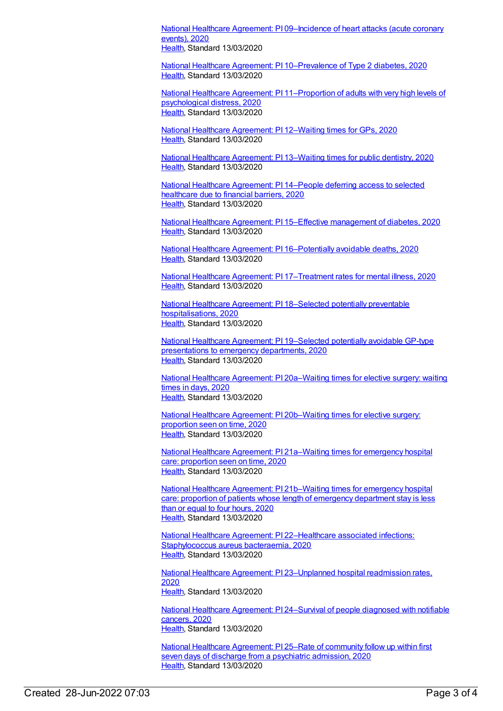National Healthcare Agreement: PI [09–Incidence](https://meteor.aihw.gov.au/content/716355) of heart attacks (acute coronary events), 2020 [Health](https://meteor.aihw.gov.au/RegistrationAuthority/12), Standard 13/03/2020

National Healthcare Agreement: PI [10–Prevalence](https://meteor.aihw.gov.au/content/716381) of Type 2 diabetes, 2020 [Health](https://meteor.aihw.gov.au/RegistrationAuthority/12), Standard 13/03/2020

National Healthcare Agreement: PI [11–Proportion](https://meteor.aihw.gov.au/content/716392) of adults with very high levels of psychological distress, 2020 [Health](https://meteor.aihw.gov.au/RegistrationAuthority/12), Standard 13/03/2020

National Healthcare [Agreement:](https://meteor.aihw.gov.au/content/716400) PI 12–Waiting times for GPs, 2020 [Health](https://meteor.aihw.gov.au/RegistrationAuthority/12), Standard 13/03/2020

National Healthcare [Agreement:](https://meteor.aihw.gov.au/content/716453) PI 13–Waiting times for public dentistry, 2020 [Health](https://meteor.aihw.gov.au/RegistrationAuthority/12), Standard 13/03/2020

National Healthcare [Agreement:](https://meteor.aihw.gov.au/content/716458) PI 14–People deferring access to selected healthcare due to financial barriers, 2020 [Health](https://meteor.aihw.gov.au/RegistrationAuthority/12), Standard 13/03/2020

National Healthcare Agreement: PI 15–Effective [management](https://meteor.aihw.gov.au/content/716465) of diabetes, 2020 [Health](https://meteor.aihw.gov.au/RegistrationAuthority/12), Standard 13/03/2020

National Healthcare Agreement: PI [16–Potentially](https://meteor.aihw.gov.au/content/716490) avoidable deaths, 2020 [Health](https://meteor.aihw.gov.au/RegistrationAuthority/12), Standard 13/03/2020

National Healthcare Agreement: PI [17–Treatment](https://meteor.aihw.gov.au/content/716505) rates for mental illness, 2020 [Health](https://meteor.aihw.gov.au/RegistrationAuthority/12), Standard 13/03/2020

National Healthcare Agreement: PI 18–Selected potentially preventable [hospitalisations,](https://meteor.aihw.gov.au/content/716530) 2020 [Health](https://meteor.aihw.gov.au/RegistrationAuthority/12), Standard 13/03/2020

National Healthcare Agreement: PI [19–Selected](https://meteor.aihw.gov.au/content/716537) potentially avoidable GP-type presentations to emergency departments, 2020 [Health](https://meteor.aihw.gov.au/RegistrationAuthority/12), Standard 13/03/2020

National Healthcare Agreement: PI [20a–Waiting](https://meteor.aihw.gov.au/content/716570) times for elective surgery: waiting times in days, 2020 [Health](https://meteor.aihw.gov.au/RegistrationAuthority/12), Standard 13/03/2020

National Healthcare Agreement: PI [20b–Waiting](https://meteor.aihw.gov.au/content/716575) times for elective surgery: proportion seen on time, 2020 [Health](https://meteor.aihw.gov.au/RegistrationAuthority/12), Standard 13/03/2020

National Healthcare Agreement: PI [21a–Waiting](https://meteor.aihw.gov.au/content/716686) times for emergency hospital care: proportion seen on time, 2020 [Health](https://meteor.aihw.gov.au/RegistrationAuthority/12), Standard 13/03/2020

National Healthcare Agreement: PI [21b–Waiting](https://meteor.aihw.gov.au/content/716695) times for emergency hospital care: proportion of patients whose length of emergency department stay is less than or equal to four hours, 2020 [Health](https://meteor.aihw.gov.au/RegistrationAuthority/12), Standard 13/03/2020

National Healthcare Agreement: PI [22–Healthcare](https://meteor.aihw.gov.au/content/716702) associated infections: Staphylococcus aureus bacteraemia, 2020 [Health](https://meteor.aihw.gov.au/RegistrationAuthority/12), Standard 13/03/2020

National Healthcare Agreement: PI [23–Unplanned](https://meteor.aihw.gov.au/content/716786) hospital readmission rates, 2020 [Health](https://meteor.aihw.gov.au/RegistrationAuthority/12), Standard 13/03/2020

National Healthcare Agreement: PI [24–Survival](https://meteor.aihw.gov.au/content/716829) of people diagnosed with notifiable cancers, 2020 [Health](https://meteor.aihw.gov.au/RegistrationAuthority/12), Standard 13/03/2020

National Healthcare [Agreement:](https://meteor.aihw.gov.au/content/716835) PI 25–Rate of community follow up within first seven days of discharge from a psychiatric admission, 2020 [Health](https://meteor.aihw.gov.au/RegistrationAuthority/12), Standard 13/03/2020